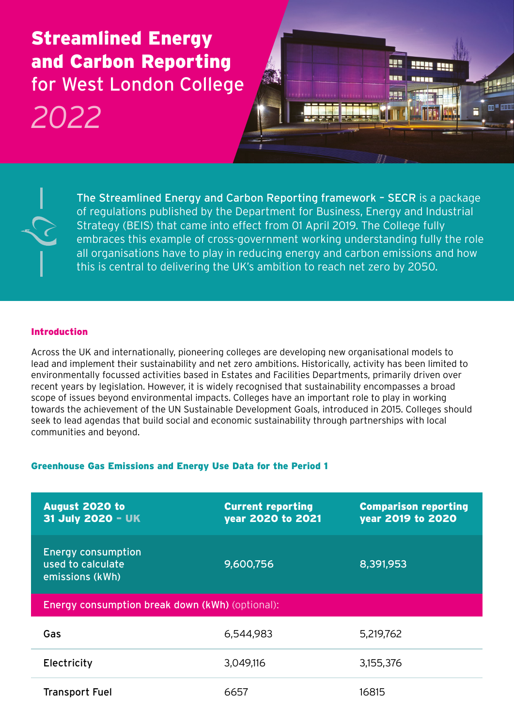# Streamlined Energy and Carbon Reporting for West London College

# *2022*





The Streamlined Energy and Carbon Reporting framework – SECR is a package of regulations published by the Department for Business, Energy and Industrial Strategy (BEIS) that came into effect from 01 April 2019. The College fully embraces this example of cross-government working understanding fully the role all organisations have to play in reducing energy and carbon emissions and how this is central to delivering the UK's ambition to reach net zero by 2050.

# Introduction

Across the UK and internationally, pioneering colleges are developing new organisational models to lead and implement their sustainability and net zero ambitions. Historically, activity has been limited to environmentally focussed activities based in Estates and Facilities Departments, primarily driven over recent years by legislation. However, it is widely recognised that sustainability encompasses a broad scope of issues beyond environmental impacts. Colleges have an important role to play in working towards the achievement of the UN Sustainable Development Goals, introduced in 2015. Colleges should seek to lead agendas that build social and economic sustainability through partnerships with local communities and beyond.

# Greenhouse Gas Emissions and Energy Use Data for the Period 1

| <b>August 2020 to</b><br>31 July 2020 - UK                        | <b>Current reporting</b><br>year 2020 to 2021 | <b>Comparison reporting</b><br>year 2019 to 2020 |  |
|-------------------------------------------------------------------|-----------------------------------------------|--------------------------------------------------|--|
| <b>Energy consumption</b><br>used to calculate<br>emissions (kWh) | 9,600,756                                     | 8,391,953                                        |  |
| Energy consumption break down (kWh) (optional):                   |                                               |                                                  |  |
| Gas                                                               | 6,544,983                                     | 5,219,762                                        |  |
| Electricity                                                       | 3,049,116                                     | 3,155,376                                        |  |
| <b>Transport Fuel</b>                                             | 6657                                          | 16815                                            |  |